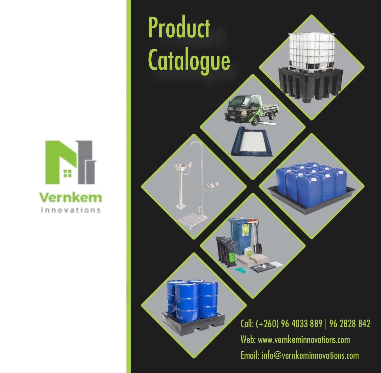

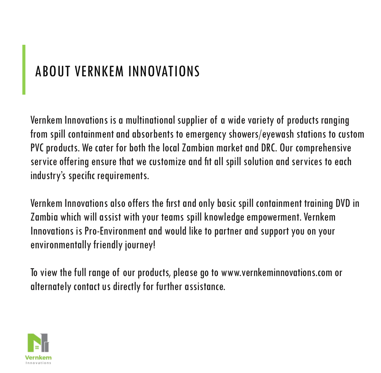### ABOUT VERNKEM INNOVATIONS

Vernkem Innovations is a multinational supplier of a wide variety of products ranging from spill containment and absorbents to emergency showers/eyewash stations to custom PVC products. We cater for both the local Zambian market and DRC. Our comprehensive service offering ensure that we customize and fit all spill solution and services to each industry's specific requirements.

Vernkem Innovations also offers the first and only basic spill containment training DVD in Zambia which will assist with your teams spill knowledge empowerment. Vernkem Innovations is Pro-Environment and would like to partner and support you on your environmentally friendly journey!

To view the full range of our products, please go to www.vernkeminnovations.com or alternately contact us directly for further assistance.

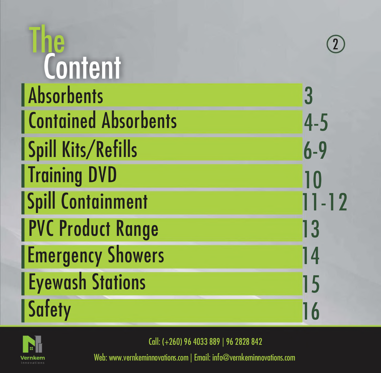| Content                     |           |
|-----------------------------|-----------|
| <b>Absorbents</b>           | 3         |
| <b>Contained Absorbents</b> | $4-5$     |
| <b>Spill Kits/Refills</b>   | $6 - 9$   |
| <b>Training DVD</b>         | 10        |
| <b>Spill Containment</b>    | $11 - 12$ |
| <b>PVC Product Range</b>    | 13        |
| <b>Emergency Showers</b>    | 14        |
| <b>Eyewash Stations</b>     | 15        |
| <b>Safety</b>               | 16        |



Call: (+260) 96 4033 889 | 96 2828 842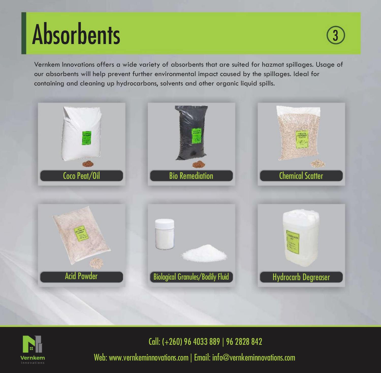### **Absorbents**

Vernkem Innovations offers a wide variety of absorbents that are suited for hazmat spillages. Usage of our absorbents will help prevent further environmental impact caused by the spillages. Ideal for containing and cleaning up hydrocarbons, solvents and other organic liquid spills.





Call: (+260) 96 4033 889 | 96 2828 842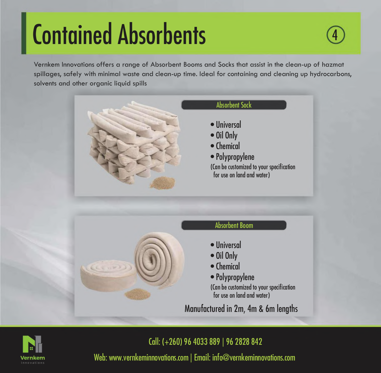### **Contained Absorbents**

Vernkem Innovations offers a range of Absorbent Booms and Socks that assist in the clean-up of hazmat spillages, safely with minimal waste and clean-up time. Ideal for containing and cleaning up hydrocarbons, solvents and other organic liquid spills





Call: (+260) 96 4033 889 | 96 2828 842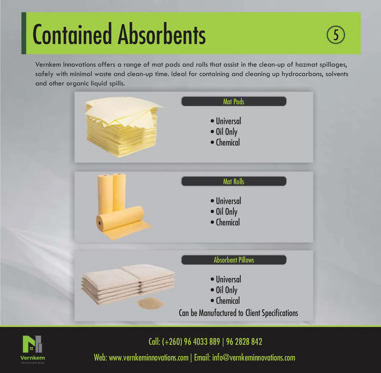### **Contained Absorbents**

Vernkem Innovations offers a range of mat pads and rolls that assist in the clean-up of hazmat spillages, safely with minimal waste and clean-up time. Ideal for containing and cleaning up hydrocarbons, solvents and other organic liquid spills.





Call: (+260) 96 4033 889 | 96 2828 842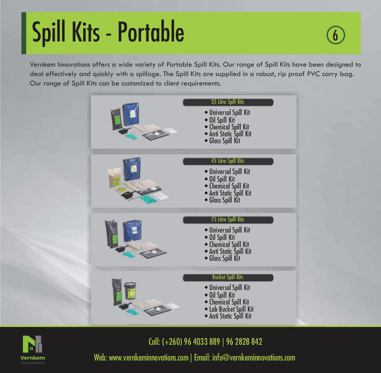### Spill Kits - Portable

Vernkem Innovations offers a wide variety of Portable Spill Kits. Our range of Spill Kits have been designed to deal effectively and quickly with a spillage. The Spill Kits are supplied in a robust, rip proof PVC carry bag. Our range of Spill Kits can be customized to client requirements.





Call: (+260) 96 4033 889 | 96 2828 842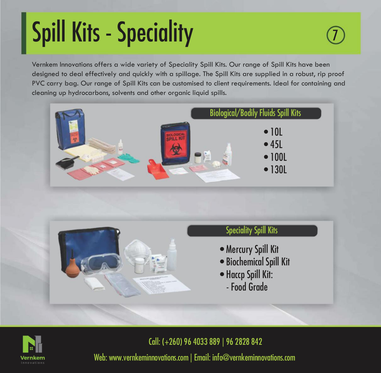# Spill Kits - Speciality

Vernkem Innovations offers a wide variety of Speciality Spill Kits. Our range of Spill Kits have been designed to deal effectively and quickly with a spillage. The Spill Kits are supplied in a robust, rip proof PVC carry bag. Our range of Spill Kits can be customised to client requirements. Ideal for containing and cleaning up hydrocarbons, solvents and other organic liquid spills.







Call: (+260) 96 4033 889 | 96 2828 842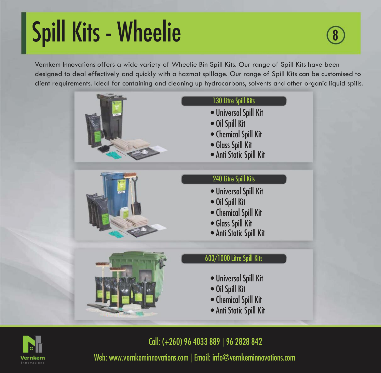### Spill Kits - Wheelie

Vernkem Innovations offers a wide variety of Wheelie Bin Spill Kits. Our range of Spill Kits have been designed to deal effectively and quickly with a hazmat spillage. Our range of Spill Kits can be customised to client requirements. Ideal for containing and cleaning up hydrocarbons, solvents and other organic liquid spills.





Call: (+260) 96 4033 889 | 96 2828 842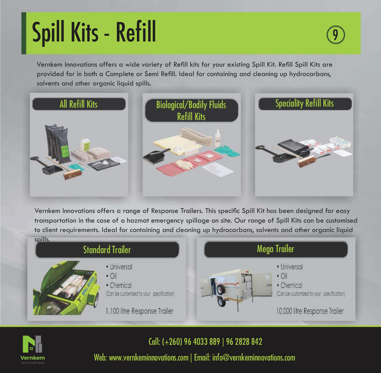### Spill Kits - Refill <sup>9</sup>

Vernkem Innovations offers a wide variety of Refill kits for your existing Spill Kit. Refill Spill Kits are provided for in both a Complete or Semi Refill. Ideal for containing and cleaning up hydrocarbons, solvents and other organic liquid spills.



Vernkem Innovations offers a range of Response Trailers. This specific Spill Kit has been designed for easy transportation in the case of a hazmat emergency spillage on site. Our range of Spill Kits can be customised to client requirements. Ideal for containing and cleaning up hydrocarbons, solvents and other organic liquid



Call: (+260) 96 4033 889 | 96 2828 842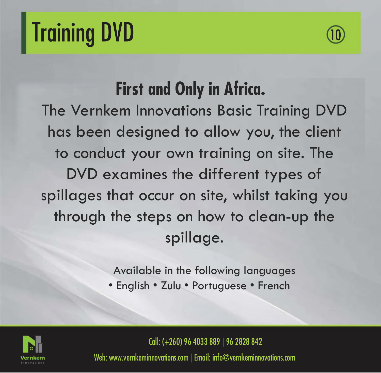### **Training DVD**



### First and Only in Africa.

The Vernkem Innovations Basic Training DVD has been designed to allow you, the client to conduct your own training on site. The DVD examines the different types of spillages that occur on site, whilst taking you through the steps on how to clean-up the spillage.

> Available in the following languages • English • Zulu • Portuguese • French



Call: (+260) 96 4033 889 | 96 2828 842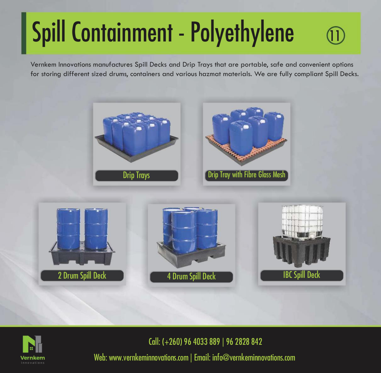# Spill Containment - Polyethylene

Vernkem Innovations manufactures Spill Decks and Drip Trays that are portable, safe and convenient options for storing different sized drums, containers and various hazmat materials. We are fully compliant Spill Decks.





Call: (+260) 96 4033 889 | 96 2828 842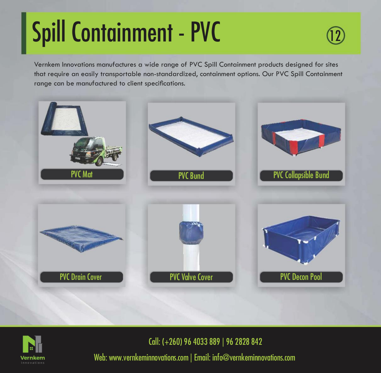# Spill Containment - PVC

Vernkem Innovations manufactures a wide range of PVC Spill Containment products designed for sites that require an easily transportable non-standardized, containment options. Our PVC Spill Containment range can be manufactured to client specifications.





Call: (+260) 96 4033 889 | 96 2828 842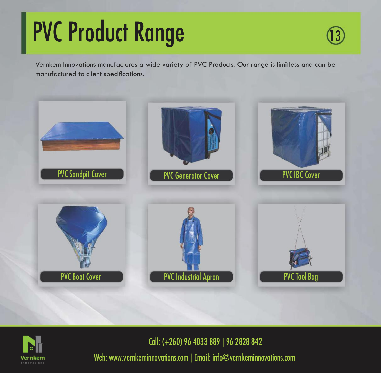### PVC Product Range



Vernkem Innovations manufactures a wide variety of PVC Products. Our range is limitless and can be manufactured to client specifications.





Call: (+260) 96 4033 889 | 96 2828 842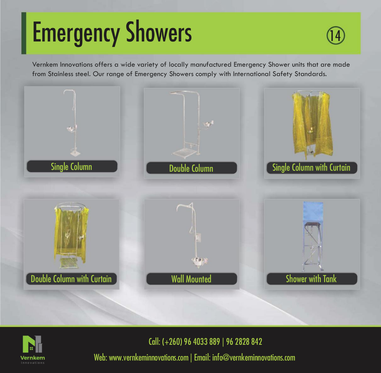### **Emergency Showers**



Vernkem Innovations offers a wide variety of locally manufactured Emergency Shower units that are made from Stainless steel. Our range of Emergency Showers comply with International Safety Standards.





Call: (+260) 96 4033 889 | 96 2828 842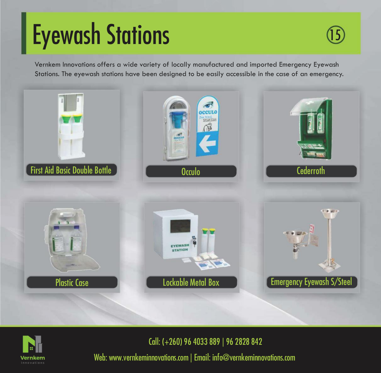### Eyewash Stations

Vernkem Innovations offers a wide variety of locally manufactured and imported Emergency Eyewash Stations. The eyewash stations have been designed to be easily accessible in the case of an emergency.





Call: (+260) 96 4033 889 | 96 2828 842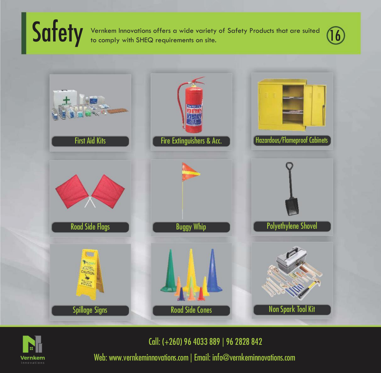Safety Vernkem Innovations offers a wide variety of Safety Products that are suited (16





Call: (+260) 96 4033 889 | 96 2828 842